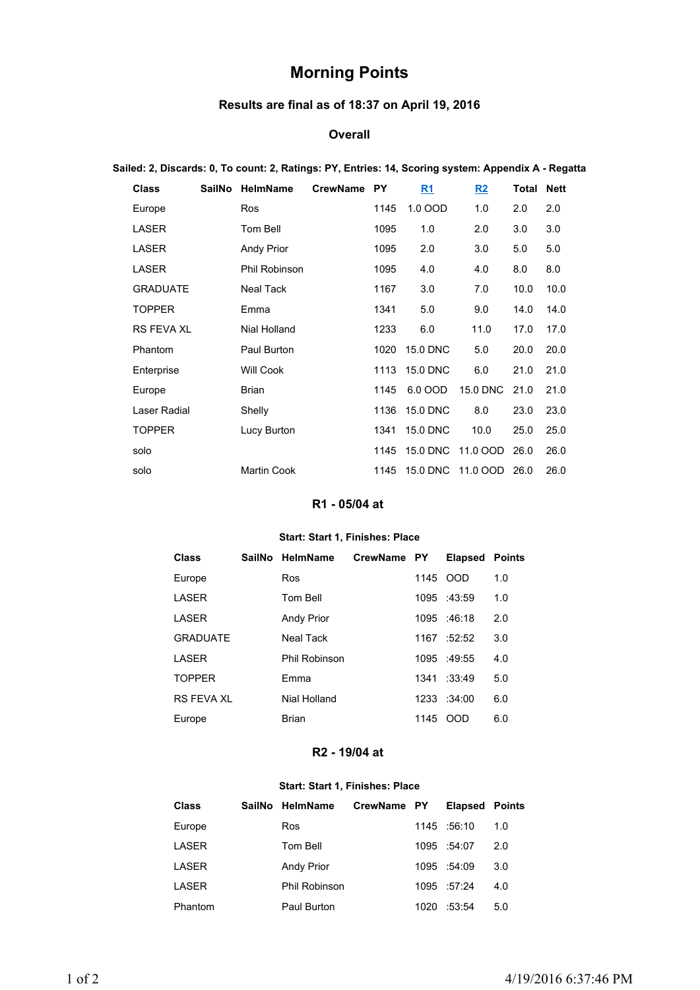# **Morning Points**

# **Results are final as of 18:37 on April 19, 2016**

### **Overall**

### **Sailed: 2, Discards: 0, To count: 2, Ratings: PY, Entries: 14, Scoring system: Appendix A - Regatta**

| <b>Class</b>      | <b>SailNo</b> | HelmName             | <b>CrewName</b> | <b>PY</b> | R <sub>1</sub>  | R2       | Total | <b>Nett</b> |
|-------------------|---------------|----------------------|-----------------|-----------|-----------------|----------|-------|-------------|
| Europe            |               | Ros                  |                 | 1145      | 1.0 OOD         | 1.0      | 2.0   | 2.0         |
| LASER             |               | Tom Bell             |                 | 1095      | 1.0             | 2.0      | 3.0   | 3.0         |
| LASER             |               | <b>Andy Prior</b>    |                 | 1095      | 2.0             | 3.0      | 5.0   | 5.0         |
| <b>LASER</b>      |               | <b>Phil Robinson</b> |                 | 1095      | 4.0             | 4.0      | 8.0   | 8.0         |
| <b>GRADUATE</b>   |               | Neal Tack            |                 | 1167      | 3.0             | 7.0      | 10.0  | 10.0        |
| <b>TOPPER</b>     |               | Emma                 |                 | 1341      | 5.0             | 9.0      | 14.0  | 14.0        |
| <b>RS FEVA XL</b> |               | Nial Holland         |                 | 1233      | 6.0             | 11.0     | 17.0  | 17.0        |
| Phantom           |               | Paul Burton          |                 | 1020      | <b>15.0 DNC</b> | 5.0      | 20.0  | 20.0        |
| Enterprise        |               | <b>Will Cook</b>     |                 | 1113      | <b>15.0 DNC</b> | 6.0      | 21.0  | 21.0        |
| Europe            |               | <b>Brian</b>         |                 | 1145      | 6.0 OOD         | 15.0 DNC | 21.0  | 21.0        |
| Laser Radial      |               | Shelly               |                 | 1136      | <b>15.0 DNC</b> | 8.0      | 23.0  | 23.0        |
| <b>TOPPER</b>     |               | Lucy Burton          |                 | 1341      | <b>15.0 DNC</b> | 10.0     | 25.0  | 25.0        |
| solo              |               |                      |                 | 1145      | 15.0 DNC        | 11.0 OOD | 26.0  | 26.0        |
| solo              |               | <b>Martin Cook</b>   |                 | 1145      | 15.0 DNC        | 11.0 OOD | 26.0  | 26.0        |

# **R1 - 05/04 at**

#### **Start: Start 1, Finishes: Place**

| Class           | SailNo HelmName      | CrewName PY |      | <b>Elapsed Points</b> |     |
|-----------------|----------------------|-------------|------|-----------------------|-----|
| Europe          | <b>Ros</b>           |             | 1145 | - OOD                 | 1.0 |
| LASER           | Tom Bell             |             |      | 1095 :43:59           | 1.0 |
| LASER           | <b>Andy Prior</b>    |             |      | 1095 :46:18           | 2.0 |
| <b>GRADUATE</b> | Neal Tack            |             | 1167 | :52:52                | 3.0 |
| LASER           | <b>Phil Robinson</b> |             |      | 1095 :49:55           | 4.0 |
| <b>TOPPER</b>   | Fmma                 |             |      | $1341 \t33.49$        | 5.0 |
| RS FFVA XI      | Nial Holland         |             |      | 1233 :34:00           | 6.0 |
| Europe          | Brian                |             | 1145 | OOD                   | 6.0 |

## **R2 - 19/04 at**

#### **Start: Start 1, Finishes: Place**

| <b>Class</b> | SailNo HelmName   | CrewName PY |      | <b>Elapsed Points</b> |     |
|--------------|-------------------|-------------|------|-----------------------|-----|
| Europe       | Ros               |             |      | 1145 .56:10           | 1.0 |
| LASER        | Tom Bell          |             |      | 1095 :54:07           | 2.0 |
| LASER        | <b>Andy Prior</b> |             |      | 1095 :54:09           | 3.0 |
| LASER        | Phil Robinson     |             |      | 1095 :57:24           | 4.0 |
| Phantom      | Paul Burton       |             | 1020 | :53:54                | 5.0 |